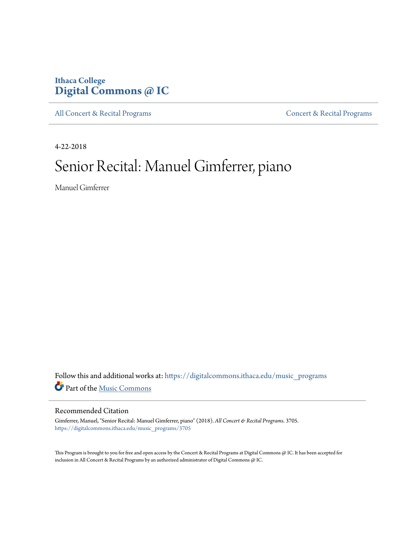# **Ithaca College [Digital Commons @ IC](https://digitalcommons.ithaca.edu?utm_source=digitalcommons.ithaca.edu%2Fmusic_programs%2F3705&utm_medium=PDF&utm_campaign=PDFCoverPages)**

[All Concert & Recital Programs](https://digitalcommons.ithaca.edu/music_programs?utm_source=digitalcommons.ithaca.edu%2Fmusic_programs%2F3705&utm_medium=PDF&utm_campaign=PDFCoverPages) **[Concert & Recital Programs](https://digitalcommons.ithaca.edu/som_programs?utm_source=digitalcommons.ithaca.edu%2Fmusic_programs%2F3705&utm_medium=PDF&utm_campaign=PDFCoverPages)** 

4-22-2018

# Senior Recital: Manuel Gimferrer, piano

Manuel Gimferrer

Follow this and additional works at: [https://digitalcommons.ithaca.edu/music\\_programs](https://digitalcommons.ithaca.edu/music_programs?utm_source=digitalcommons.ithaca.edu%2Fmusic_programs%2F3705&utm_medium=PDF&utm_campaign=PDFCoverPages) Part of the [Music Commons](http://network.bepress.com/hgg/discipline/518?utm_source=digitalcommons.ithaca.edu%2Fmusic_programs%2F3705&utm_medium=PDF&utm_campaign=PDFCoverPages)

#### Recommended Citation

Gimferrer, Manuel, "Senior Recital: Manuel Gimferrer, piano" (2018). *All Concert & Recital Programs*. 3705. [https://digitalcommons.ithaca.edu/music\\_programs/3705](https://digitalcommons.ithaca.edu/music_programs/3705?utm_source=digitalcommons.ithaca.edu%2Fmusic_programs%2F3705&utm_medium=PDF&utm_campaign=PDFCoverPages)

This Program is brought to you for free and open access by the Concert & Recital Programs at Digital Commons @ IC. It has been accepted for inclusion in All Concert & Recital Programs by an authorized administrator of Digital Commons @ IC.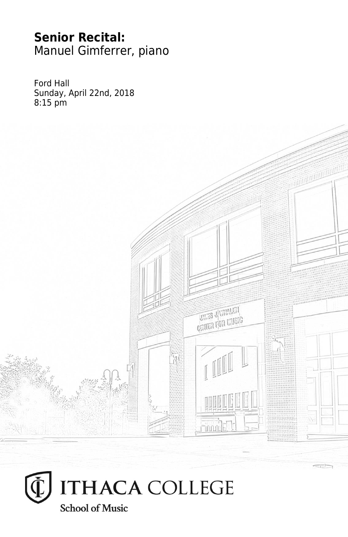# **Senior Recital:** Manuel Gimferrer, piano

Ford Hall Sunday, April 22nd, 2018 8:15 pm